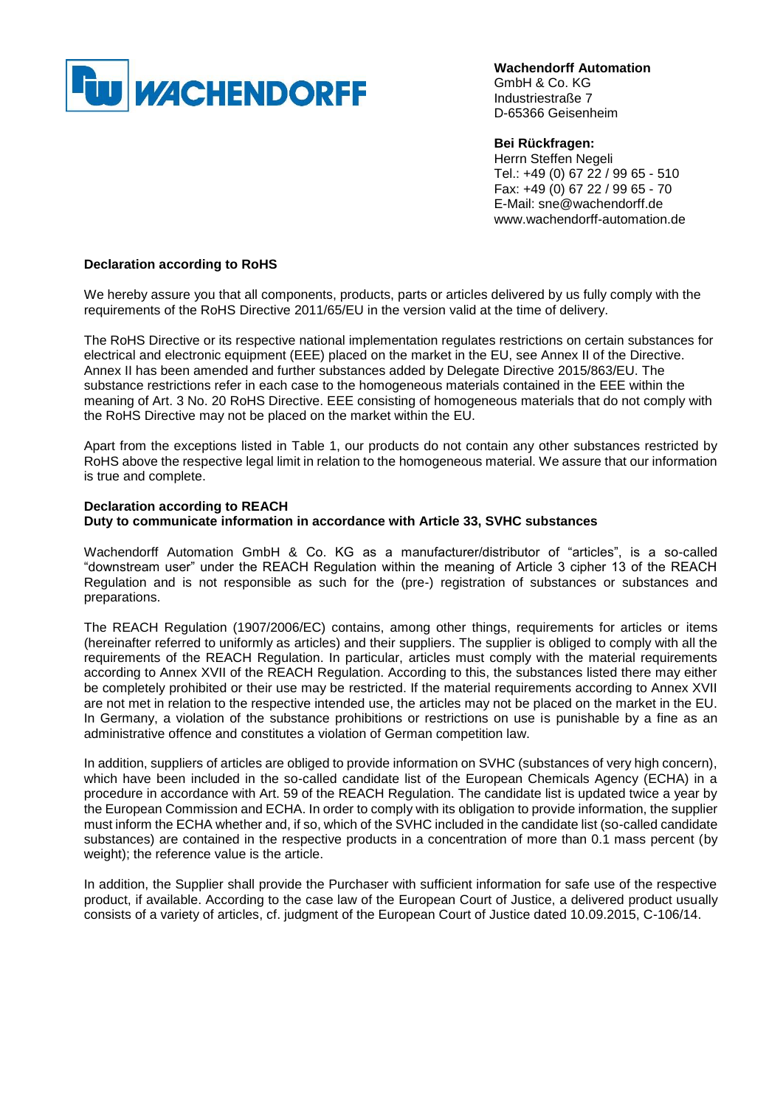

**Wachendorff Automation**  GmbH & Co. KG Industriestraße 7 D-65366 Geisenheim

**Bei Rückfragen:**  Herrn Steffen Negeli Tel.: +49 (0) 67 22 / 99 65 - 510 Fax: +49 (0) 67 22 / 99 65 - 70 E-Mail: sne@wachendorff.de www.wachendorff-automation.de

## **Declaration according to RoHS**

We hereby assure you that all components, products, parts or articles delivered by us fully comply with the requirements of the RoHS Directive 2011/65/EU in the version valid at the time of delivery.

The RoHS Directive or its respective national implementation regulates restrictions on certain substances for electrical and electronic equipment (EEE) placed on the market in the EU, see Annex II of the Directive. Annex II has been amended and further substances added by Delegate Directive 2015/863/EU. The substance restrictions refer in each case to the homogeneous materials contained in the EEE within the meaning of Art. 3 No. 20 RoHS Directive. EEE consisting of homogeneous materials that do not comply with the RoHS Directive may not be placed on the market within the EU.

Apart from the exceptions listed in Table 1, our products do not contain any other substances restricted by RoHS above the respective legal limit in relation to the homogeneous material. We assure that our information is true and complete.

## **Declaration according to REACH Duty to communicate information in accordance with Article 33, SVHC substances**

Wachendorff Automation GmbH & Co. KG as a manufacturer/distributor of "articles", is a so-called "downstream user" under the REACH Regulation within the meaning of Article 3 cipher 13 of the REACH Regulation and is not responsible as such for the (pre-) registration of substances or substances and preparations.

The REACH Regulation (1907/2006/EC) contains, among other things, requirements for articles or items (hereinafter referred to uniformly as articles) and their suppliers. The supplier is obliged to comply with all the requirements of the REACH Regulation. In particular, articles must comply with the material requirements according to Annex XVII of the REACH Regulation. According to this, the substances listed there may either be completely prohibited or their use may be restricted. If the material requirements according to Annex XVII are not met in relation to the respective intended use, the articles may not be placed on the market in the EU. In Germany, a violation of the substance prohibitions or restrictions on use is punishable by a fine as an administrative offence and constitutes a violation of German competition law.

In addition, suppliers of articles are obliged to provide information on SVHC (substances of very high concern), which have been included in the so-called candidate list of the European Chemicals Agency (ECHA) in a procedure in accordance with Art. 59 of the REACH Regulation. The candidate list is updated twice a year by the European Commission and ECHA. In order to comply with its obligation to provide information, the supplier must inform the ECHA whether and, if so, which of the SVHC included in the candidate list (so-called candidate substances) are contained in the respective products in a concentration of more than 0.1 mass percent (by weight); the reference value is the article.

In addition, the Supplier shall provide the Purchaser with sufficient information for safe use of the respective product, if available. According to the case law of the European Court of Justice, a delivered product usually consists of a variety of articles, cf. judgment of the European Court of Justice dated 10.09.2015, C-106/14.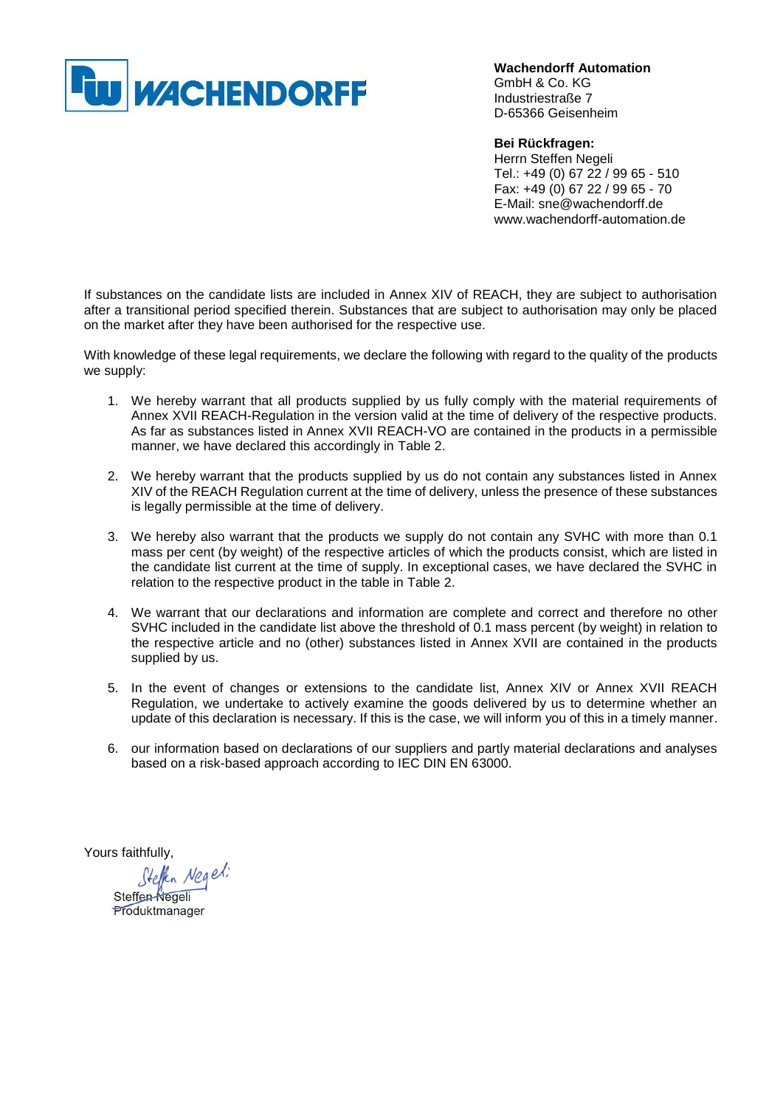

**Wachendorff Automation**  GmbH & Co. KG Industriestraße 7 D-65366 Geisenheim

**Bei Rückfragen:**  Herrn Steffen Negeli Tel.: +49 (0) 67 22 / 99 65 - 510 Fax: +49 (0) 67 22 / 99 65 - 70 E-Mail: sne@wachendorff.de www.wachendorff-automation.de

If substances on the candidate lists are included in Annex XIV of REACH, they are subject to authorisation after a transitional period specified therein. Substances that are subject to authorisation may only be placed on the market after they have been authorised for the respective use.

With knowledge of these legal requirements, we declare the following with regard to the quality of the products we supply:

- 1. We hereby warrant that all products supplied by us fully comply with the material requirements of Annex XVII REACH-Regulation in the version valid at the time of delivery of the respective products. As far as substances listed in Annex XVII REACH-VO are contained in the products in a permissible manner, we have declared this accordingly in Table 2.
- 2. We hereby warrant that the products supplied by us do not contain any substances listed in Annex XIV of the REACH Regulation current at the time of delivery, unless the presence of these substances is legally permissible at the time of delivery.
- 3. We hereby also warrant that the products we supply do not contain any SVHC with more than 0.1 mass per cent (by weight) of the respective articles of which the products consist, which are listed in the candidate list current at the time of supply. In exceptional cases, we have declared the SVHC in relation to the respective product in the table in Table 2.
- 4. We warrant that our declarations and information are complete and correct and therefore no other SVHC included in the candidate list above the threshold of 0.1 mass percent (by weight) in relation to the respective article and no (other) substances listed in Annex XVII are contained in the products supplied by us.
- 5. In the event of changes or extensions to the candidate list, Annex XIV or Annex XVII REACH Regulation, we undertake to actively examine the goods delivered by us to determine whether an update of this declaration is necessary. If this is the case, we will inform you of this in a timely manner.
- 6. our information based on declarations of our suppliers and partly material declarations and analyses based on a risk-based approach according to IEC DIN EN 63000.

Yours faithfully,<br>Steffen-Negel;<br>Steffen-Negeli

Produktmanager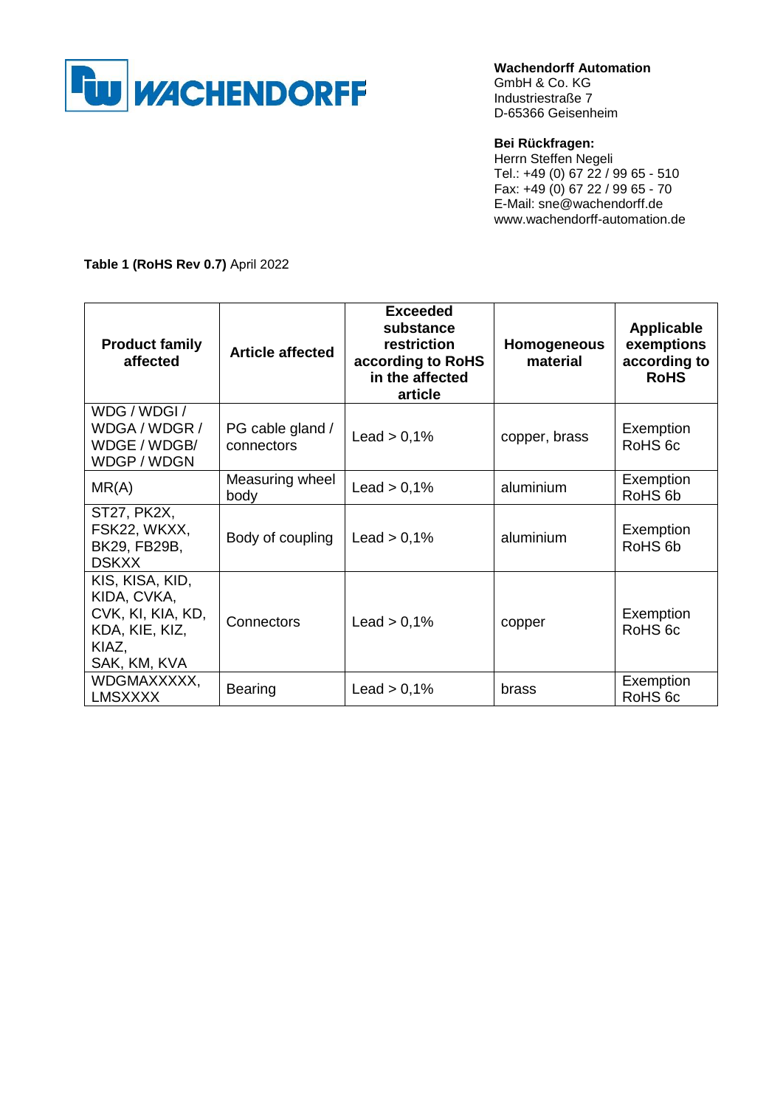

**Wachendorff Automation**  GmbH & Co. KG Industriestraße 7

D-65366 Geisenheim

## **Bei Rückfragen:**

Herrn Steffen Negeli Tel.: +49 (0) 67 22 / 99 65 - 510 Fax: +49 (0) 67 22 / 99 65 - 70 E-Mail: sne@wachendorff.de www.wachendorff-automation.de

**Table 1 (RoHS Rev 0.7)** April 2022

| <b>Product family</b><br>affected                                                              | <b>Article affected</b>        | <b>Exceeded</b><br>substance<br>restriction<br>according to RoHS<br>in the affected<br>article | <b>Homogeneous</b><br>material | <b>Applicable</b><br>exemptions<br>according to<br><b>RoHS</b> |
|------------------------------------------------------------------------------------------------|--------------------------------|------------------------------------------------------------------------------------------------|--------------------------------|----------------------------------------------------------------|
| WDG / WDGI /<br>WDGA / WDGR /<br>WDGE / WDGB/<br>WDGP / WDGN                                   | PG cable gland /<br>connectors | Lead $> 0,1\%$                                                                                 | copper, brass                  | Exemption<br>RoHS <sub>6c</sub>                                |
| MR(A)                                                                                          | Measuring wheel<br>body        | Lead $> 0,1\%$                                                                                 | aluminium                      | Exemption<br>RoHS <sub>6b</sub>                                |
| <b>ST27, PK2X,</b><br>FSK22, WKXX,<br>BK29, FB29B,<br><b>DSKXX</b>                             | Body of coupling               | Lead $> 0.1\%$                                                                                 | aluminium                      | Exemption<br>RoHS <sub>6b</sub>                                |
| KIS, KISA, KID,<br>KIDA, CVKA,<br>CVK, KI, KIA, KD,<br>KDA, KIE, KIZ,<br>KIAZ,<br>SAK, KM, KVA | Connectors                     | Lead $> 0.1\%$                                                                                 | copper                         | Exemption<br>RoHS <sub>6c</sub>                                |
| WDGMAXXXXX,<br><b>LMSXXXX</b>                                                                  | <b>Bearing</b>                 | Lead $> 0,1\%$                                                                                 | brass                          | Exemption<br>RoHS <sub>6c</sub>                                |